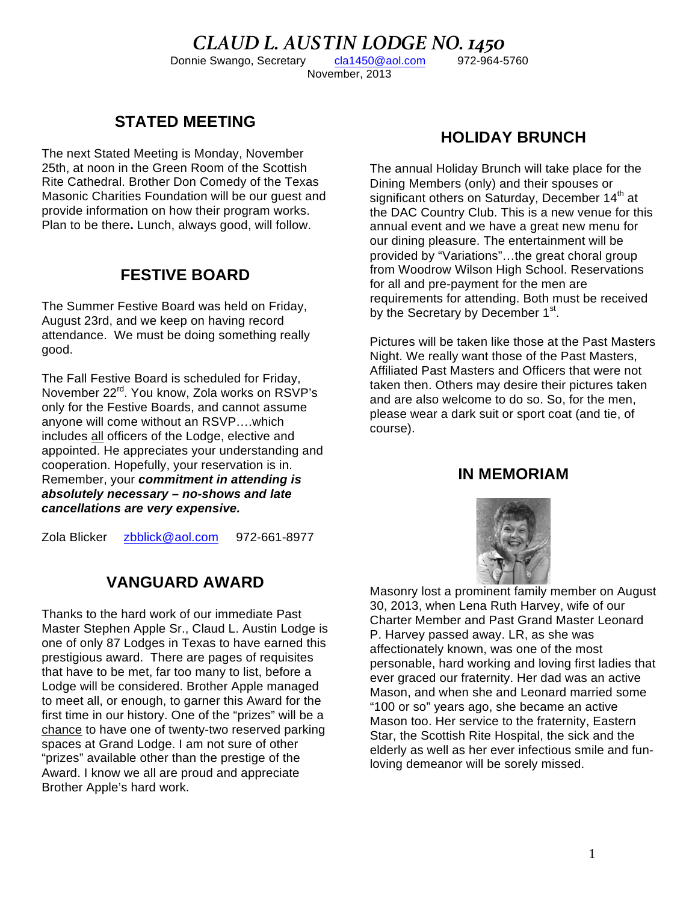#### *CLAUD L. AUSTIN LODGE NO. 1450* Donnie Swango, Secretary cla1450@aol.com November, 2013

# **STATED MEETING**

The next Stated Meeting is Monday, November 25th, at noon in the Green Room of the Scottish Rite Cathedral. Brother Don Comedy of the Texas Masonic Charities Foundation will be our guest and provide information on how their program works. Plan to be there**.** Lunch, always good, will follow.

## **FESTIVE BOARD**

The Summer Festive Board was held on Friday, August 23rd, and we keep on having record attendance. We must be doing something really good.

The Fall Festive Board is scheduled for Friday, November 22<sup>rd</sup>. You know, Zola works on RSVP's only for the Festive Boards, and cannot assume anyone will come without an RSVP….which includes all officers of the Lodge, elective and appointed. He appreciates your understanding and cooperation. Hopefully, your reservation is in. Remember, your *commitment in attending is absolutely necessary – no-shows and late cancellations are very expensive.*

Zola Blicker zbblick@aol.com 972-661-8977

# **VANGUARD AWARD**

Thanks to the hard work of our immediate Past Master Stephen Apple Sr., Claud L. Austin Lodge is one of only 87 Lodges in Texas to have earned this prestigious award. There are pages of requisites that have to be met, far too many to list, before a Lodge will be considered. Brother Apple managed to meet all, or enough, to garner this Award for the first time in our history. One of the "prizes" will be a chance to have one of twenty-two reserved parking spaces at Grand Lodge. I am not sure of other "prizes" available other than the prestige of the Award. I know we all are proud and appreciate Brother Apple's hard work.

## **HOLIDAY BRUNCH**

The annual Holiday Brunch will take place for the Dining Members (only) and their spouses or significant others on Saturday, December 14<sup>th</sup> at the DAC Country Club. This is a new venue for this annual event and we have a great new menu for our dining pleasure. The entertainment will be provided by "Variations"…the great choral group from Woodrow Wilson High School. Reservations for all and pre-payment for the men are requirements for attending. Both must be received by the Secretary by December 1<sup>st</sup>.

Pictures will be taken like those at the Past Masters Night. We really want those of the Past Masters, Affiliated Past Masters and Officers that were not taken then. Others may desire their pictures taken and are also welcome to do so. So, for the men, please wear a dark suit or sport coat (and tie, of course).

#### **IN MEMORIAM**



Masonry lost a prominent family member on August 30, 2013, when Lena Ruth Harvey, wife of our Charter Member and Past Grand Master Leonard P. Harvey passed away. LR, as she was affectionately known, was one of the most personable, hard working and loving first ladies that ever graced our fraternity. Her dad was an active Mason, and when she and Leonard married some "100 or so" years ago, she became an active Mason too. Her service to the fraternity, Eastern Star, the Scottish Rite Hospital, the sick and the elderly as well as her ever infectious smile and funloving demeanor will be sorely missed.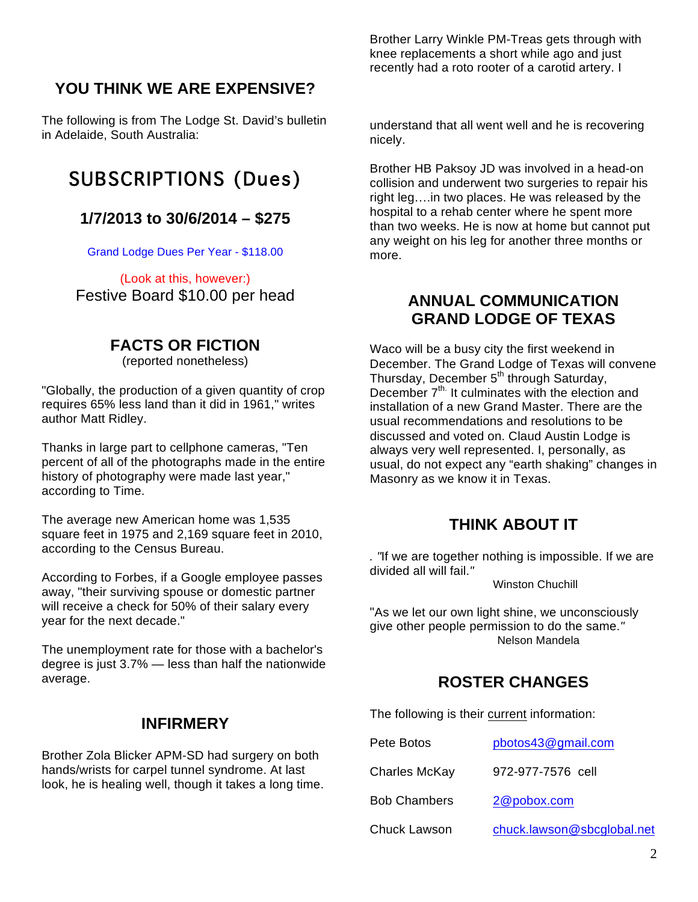## **YOU THINK WE ARE EXPENSIVE?**

The following is from The Lodge St. David's bulletin in Adelaide, South Australia:

# SUBSCRIPTIONS (Dues)

## **1/7/2013 to 30/6/2014 – \$275**

Grand Lodge Dues Per Year - \$118.00

(Look at this, however:) Festive Board \$10.00 per head

## **FACTS OR FICTION**

(reported nonetheless)

"Globally, the production of a given quantity of crop requires 65% less land than it did in 1961," writes author Matt Ridley.

Thanks in large part to cellphone cameras, "Ten percent of all of the photographs made in the entire history of photography were made last year," according to Time.

The average new American home was 1,535 square feet in 1975 and 2,169 square feet in 2010, according to the Census Bureau.

According to Forbes, if a Google employee passes away, "their surviving spouse or domestic partner will receive a check for 50% of their salary every year for the next decade."

The unemployment rate for those with a bachelor's degree is just 3.7% — less than half the nationwide average.

#### **INFIRMERY**

Brother Zola Blicker APM-SD had surgery on both hands/wrists for carpel tunnel syndrome. At last look, he is healing well, though it takes a long time. Brother Larry Winkle PM-Treas gets through with knee replacements a short while ago and just recently had a roto rooter of a carotid artery. I

understand that all went well and he is recovering nicely.

Brother HB Paksoy JD was involved in a head-on collision and underwent two surgeries to repair his right leg….in two places. He was released by the hospital to a rehab center where he spent more than two weeks. He is now at home but cannot put any weight on his leg for another three months or more.

### **ANNUAL COMMUNICATION GRAND LODGE OF TEXAS**

Waco will be a busy city the first weekend in December. The Grand Lodge of Texas will convene Thursday, December 5<sup>th</sup> through Saturday, December  $7<sup>th</sup>$ . It culminates with the election and installation of a new Grand Master. There are the usual recommendations and resolutions to be discussed and voted on. Claud Austin Lodge is always very well represented. I, personally, as usual, do not expect any "earth shaking" changes in Masonry as we know it in Texas.

## **THINK ABOUT IT**

*. "*If we are together nothing is impossible. If we are divided all will fail.*"*

Winston Chuchill

"As we let our own light shine, we unconsciously give other people permission to do the same.*"* Nelson Mandela

# **ROSTER CHANGES**

The following is their current information:

| Pete Botos           | pbotos43@gmail.com         |
|----------------------|----------------------------|
| <b>Charles McKay</b> | 972-977-7576 cell          |
| <b>Bob Chambers</b>  | 2@pobox.com                |
| <b>Chuck Lawson</b>  | chuck.lawson@sbcglobal.net |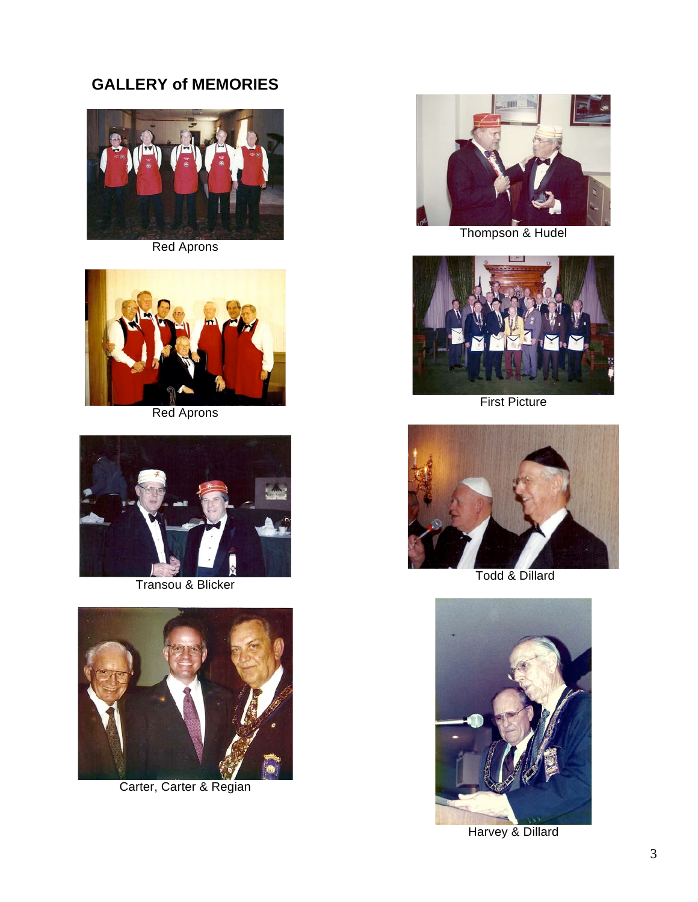# **GALLERY of MEMORIES**



Red Aprons



Red Aprons



Transou & Blicker



Carter, Carter & Regian



Thompson & Hudel



First Picture



Todd & Dillard



Harvey & Dillard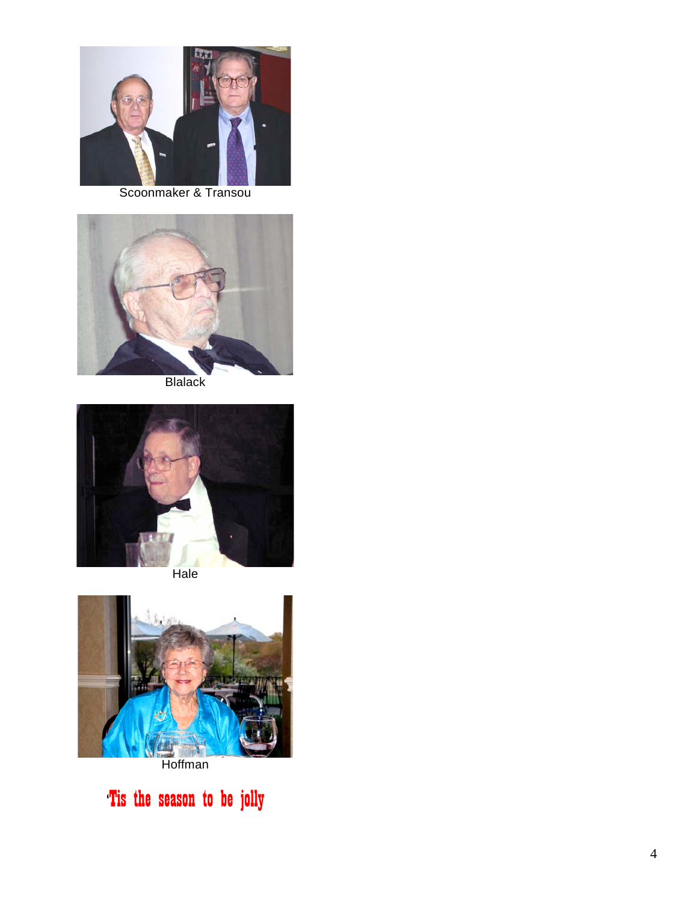

Scoonmaker & Transou



**Blalack** 





**Hoffman** 

'Tis the season to be jolly